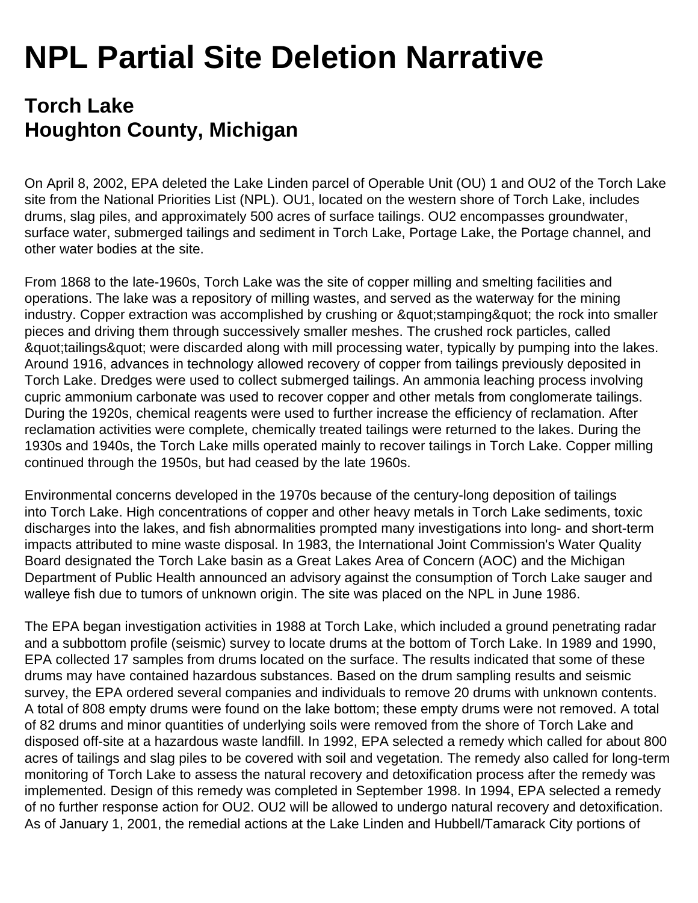## **NPL Partial Site Deletion Narrative**

## **Torch Lake Houghton County, Michigan**

On April 8, 2002, EPA deleted the Lake Linden parcel of Operable Unit (OU) 1 and OU2 of the Torch Lake site from the National Priorities List (NPL). OU1, located on the western shore of Torch Lake, includes drums, slag piles, and approximately 500 acres of surface tailings. OU2 encompasses groundwater, surface water, submerged tailings and sediment in Torch Lake, Portage Lake, the Portage channel, and other water bodies at the site.

From 1868 to the late-1960s, Torch Lake was the site of copper milling and smelting facilities and operations. The lake was a repository of milling wastes, and served as the waterway for the mining industry. Copper extraction was accomplished by crushing or " stamping" the rock into smaller pieces and driving them through successively smaller meshes. The crushed rock particles, called  $\&$  austrailings  $\&$  quot; were discarded along with mill processing water, typically by pumping into the lakes. Around 1916, advances in technology allowed recovery of copper from tailings previously deposited in Torch Lake. Dredges were used to collect submerged tailings. An ammonia leaching process involving cupric ammonium carbonate was used to recover copper and other metals from conglomerate tailings. During the 1920s, chemical reagents were used to further increase the efficiency of reclamation. After reclamation activities were complete, chemically treated tailings were returned to the lakes. During the 1930s and 1940s, the Torch Lake mills operated mainly to recover tailings in Torch Lake. Copper milling continued through the 1950s, but had ceased by the late 1960s.

Environmental concerns developed in the 1970s because of the century-long deposition of tailings into Torch Lake. High concentrations of copper and other heavy metals in Torch Lake sediments, toxic discharges into the lakes, and fish abnormalities prompted many investigations into long- and short-term impacts attributed to mine waste disposal. In 1983, the International Joint Commission's Water Quality Board designated the Torch Lake basin as a Great Lakes Area of Concern (AOC) and the Michigan Department of Public Health announced an advisory against the consumption of Torch Lake sauger and walleye fish due to tumors of unknown origin. The site was placed on the NPL in June 1986.

The EPA began investigation activities in 1988 at Torch Lake, which included a ground penetrating radar and a subbottom profile (seismic) survey to locate drums at the bottom of Torch Lake. In 1989 and 1990, EPA collected 17 samples from drums located on the surface. The results indicated that some of these drums may have contained hazardous substances. Based on the drum sampling results and seismic survey, the EPA ordered several companies and individuals to remove 20 drums with unknown contents. A total of 808 empty drums were found on the lake bottom; these empty drums were not removed. A total of 82 drums and minor quantities of underlying soils were removed from the shore of Torch Lake and disposed off-site at a hazardous waste landfill. In 1992, EPA selected a remedy which called for about 800 acres of tailings and slag piles to be covered with soil and vegetation. The remedy also called for long-term monitoring of Torch Lake to assess the natural recovery and detoxification process after the remedy was implemented. Design of this remedy was completed in September 1998. In 1994, EPA selected a remedy of no further response action for OU2. OU2 will be allowed to undergo natural recovery and detoxification. As of January 1, 2001, the remedial actions at the Lake Linden and Hubbell/Tamarack City portions of